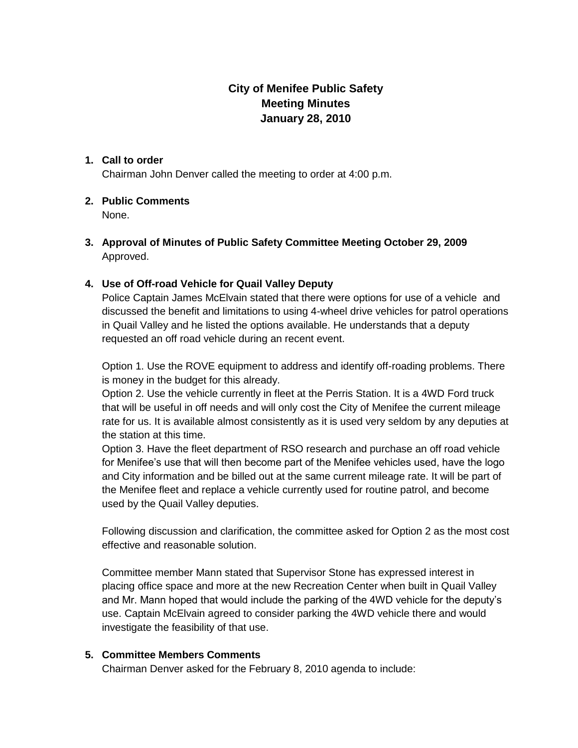# **City of Menifee Public Safety Meeting Minutes January 28, 2010**

#### **1. Call to order**

Chairman John Denver called the meeting to order at 4:00 p.m.

## **2. Public Comments**

None.

**3. Approval of Minutes of Public Safety Committee Meeting October 29, 2009** Approved.

### **4. Use of Off-road Vehicle for Quail Valley Deputy**

Police Captain James McElvain stated that there were options for use of a vehicle and discussed the benefit and limitations to using 4-wheel drive vehicles for patrol operations in Quail Valley and he listed the options available. He understands that a deputy requested an off road vehicle during an recent event.

Option 1. Use the ROVE equipment to address and identify off-roading problems. There is money in the budget for this already.

Option 2. Use the vehicle currently in fleet at the Perris Station. It is a 4WD Ford truck that will be useful in off needs and will only cost the City of Menifee the current mileage rate for us. It is available almost consistently as it is used very seldom by any deputies at the station at this time.

Option 3. Have the fleet department of RSO research and purchase an off road vehicle for Menifee's use that will then become part of the Menifee vehicles used, have the logo and City information and be billed out at the same current mileage rate. It will be part of the Menifee fleet and replace a vehicle currently used for routine patrol, and become used by the Quail Valley deputies.

Following discussion and clarification, the committee asked for Option 2 as the most cost effective and reasonable solution.

Committee member Mann stated that Supervisor Stone has expressed interest in placing office space and more at the new Recreation Center when built in Quail Valley and Mr. Mann hoped that would include the parking of the 4WD vehicle for the deputy's use. Captain McElvain agreed to consider parking the 4WD vehicle there and would investigate the feasibility of that use.

### **5. Committee Members Comments**

Chairman Denver asked for the February 8, 2010 agenda to include: